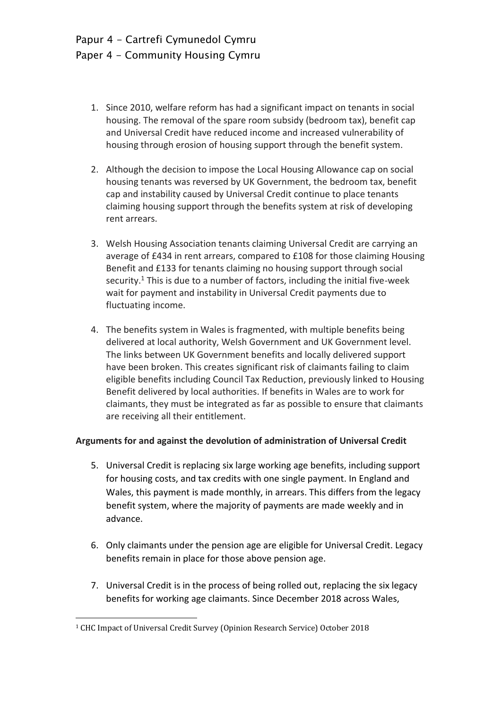- 1. Since 2010, welfare reform has had a significant impact on tenants in social housing. The removal of the spare room subsidy (bedroom tax), benefit cap and Universal Credit have reduced income and increased vulnerability of housing through erosion of housing support through the benefit system.
- 2. Although the decision to impose the Local Housing Allowance cap on social housing tenants was reversed by UK Government, the bedroom tax, benefit cap and instability caused by Universal Credit continue to place tenants claiming housing support through the benefits system at risk of developing rent arrears.
- 3. Welsh Housing Association tenants claiming Universal Credit are carrying an average of £434 in rent arrears, compared to £108 for those claiming Housing Benefit and £133 for tenants claiming no housing support through social security.<sup>1</sup> This is due to a number of factors, including the initial five-week wait for payment and instability in Universal Credit payments due to fluctuating income.
- 4. The benefits system in Wales is fragmented, with multiple benefits being delivered at local authority, Welsh Government and UK Government level. The links between UK Government benefits and locally delivered support have been broken. This creates significant risk of claimants failing to claim eligible benefits including Council Tax Reduction, previously linked to Housing Benefit delivered by local authorities. If benefits in Wales are to work for claimants, they must be integrated as far as possible to ensure that claimants are receiving all their entitlement.

# **Arguments for and against the devolution of administration of Universal Credit**

- 5. Universal Credit is replacing six large working age benefits, including support for housing costs, and tax credits with one single payment. In England and Wales, this payment is made monthly, in arrears. This differs from the legacy benefit system, where the majority of payments are made weekly and in advance.
- 6. Only claimants under the pension age are eligible for Universal Credit. Legacy benefits remain in place for those above pension age.
- 7. Universal Credit is in the process of being rolled out, replacing the six legacy benefits for working age claimants. Since December 2018 across Wales,

 $\overline{\phantom{a}}$ 

<sup>1</sup> CHC Impact of Universal Credit Survey (Opinion Research Service) October 2018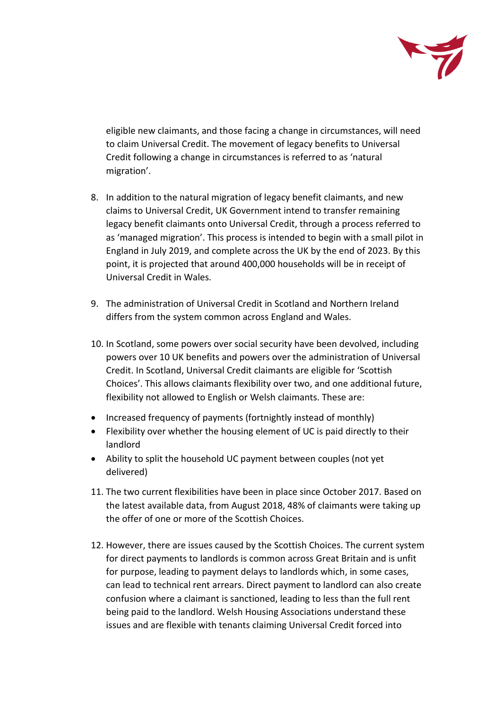

eligible new claimants, and those facing a change in circumstances, will need to claim Universal Credit. The movement of legacy benefits to Universal Credit following a change in circumstances is referred to as 'natural migration'.

- 8. In addition to the natural migration of legacy benefit claimants, and new claims to Universal Credit, UK Government intend to transfer remaining legacy benefit claimants onto Universal Credit, through a process referred to as 'managed migration'. This process is intended to begin with a small pilot in England in July 2019, and complete across the UK by the end of 2023. By this point, it is projected that around 400,000 households will be in receipt of Universal Credit in Wales.
- 9. The administration of Universal Credit in Scotland and Northern Ireland differs from the system common across England and Wales.
- 10. In Scotland, some powers over social security have been devolved, including powers over 10 UK benefits and powers over the administration of Universal Credit. In Scotland, Universal Credit claimants are eligible for 'Scottish Choices'. This allows claimants flexibility over two, and one additional future, flexibility not allowed to English or Welsh claimants. These are:
- Increased frequency of payments (fortnightly instead of monthly)
- Flexibility over whether the housing element of UC is paid directly to their landlord
- Ability to split the household UC payment between couples (not yet delivered)
- 11. The two current flexibilities have been in place since October 2017. Based on the latest available data, from August 2018, 48% of claimants were taking up the offer of one or more of the Scottish Choices.
- 12. However, there are issues caused by the Scottish Choices. The current system for direct payments to landlords is common across Great Britain and is unfit for purpose, leading to payment delays to landlords which, in some cases, can lead to technical rent arrears. Direct payment to landlord can also create confusion where a claimant is sanctioned, leading to less than the full rent being paid to the landlord. Welsh Housing Associations understand these issues and are flexible with tenants claiming Universal Credit forced into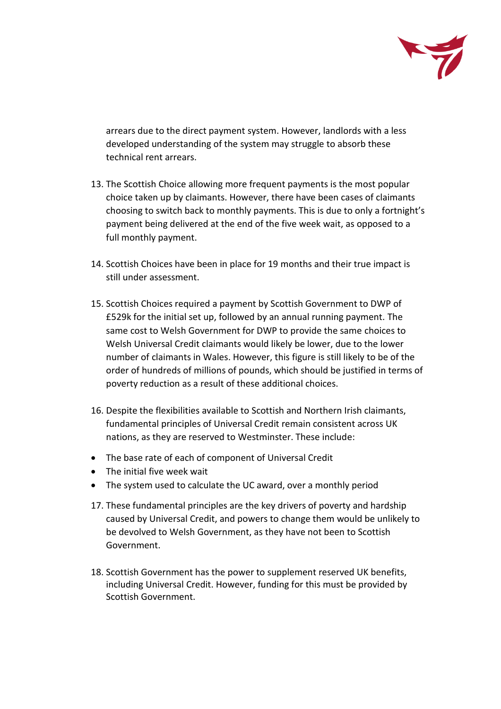

arrears due to the direct payment system. However, landlords with a less developed understanding of the system may struggle to absorb these technical rent arrears.

- 13. The Scottish Choice allowing more frequent payments is the most popular choice taken up by claimants. However, there have been cases of claimants choosing to switch back to monthly payments. This is due to only a fortnight's payment being delivered at the end of the five week wait, as opposed to a full monthly payment.
- 14. Scottish Choices have been in place for 19 months and their true impact is still under assessment.
- 15. Scottish Choices required a payment by Scottish Government to DWP of £529k for the initial set up, followed by an annual running payment. The same cost to Welsh Government for DWP to provide the same choices to Welsh Universal Credit claimants would likely be lower, due to the lower number of claimants in Wales. However, this figure is still likely to be of the order of hundreds of millions of pounds, which should be justified in terms of poverty reduction as a result of these additional choices.
- 16. Despite the flexibilities available to Scottish and Northern Irish claimants, fundamental principles of Universal Credit remain consistent across UK nations, as they are reserved to Westminster. These include:
- The base rate of each of component of Universal Credit
- The initial five week wait
- The system used to calculate the UC award, over a monthly period
- 17. These fundamental principles are the key drivers of poverty and hardship caused by Universal Credit, and powers to change them would be unlikely to be devolved to Welsh Government, as they have not been to Scottish Government.
- 18. Scottish Government has the power to supplement reserved UK benefits, including Universal Credit. However, funding for this must be provided by Scottish Government.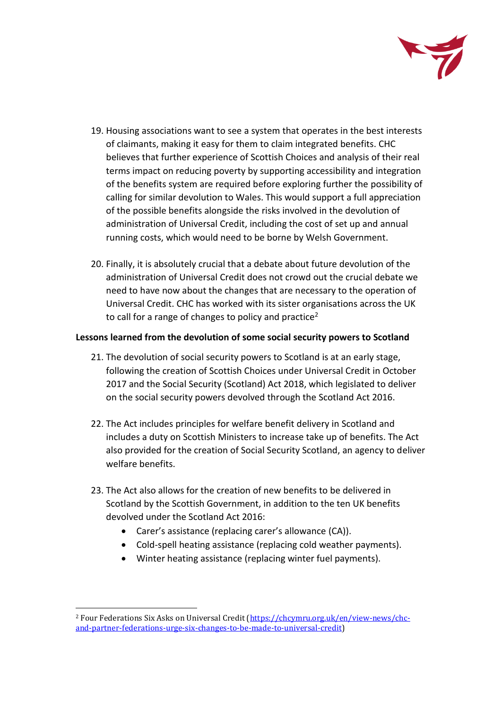

- 19. Housing associations want to see a system that operates in the best interests of claimants, making it easy for them to claim integrated benefits. CHC believes that further experience of Scottish Choices and analysis of their real terms impact on reducing poverty by supporting accessibility and integration of the benefits system are required before exploring further the possibility of calling for similar devolution to Wales. This would support a full appreciation of the possible benefits alongside the risks involved in the devolution of administration of Universal Credit, including the cost of set up and annual running costs, which would need to be borne by Welsh Government.
- 20. Finally, it is absolutely crucial that a debate about future devolution of the administration of Universal Credit does not crowd out the crucial debate we need to have now about the changes that are necessary to the operation of Universal Credit. CHC has worked with its sister organisations across the UK to call for a range of changes to policy and practice<sup>2</sup>

## **Lessons learned from the devolution of some social security powers to Scotland**

- 21. The devolution of social security powers to Scotland is at an early stage, following the creation of Scottish Choices under Universal Credit in October 2017 and the Social Security (Scotland) Act 2018, which legislated to deliver on the social security powers devolved through the Scotland Act 2016.
- 22. The Act includes principles for welfare benefit delivery in Scotland and includes a duty on Scottish Ministers to increase take up of benefits. The Act also provided for the creation of Social Security Scotland, an agency to deliver welfare benefits.
- 23. The Act also allows for the creation of new benefits to be delivered in Scotland by the Scottish Government, in addition to the ten UK benefits devolved under the Scotland Act 2016:
	- Carer's assistance (replacing carer's allowance (CA)).
	- Cold-spell heating assistance (replacing cold weather payments).
	- Winter heating assistance (replacing winter fuel payments).

 $\overline{\phantom{a}}$ 

<sup>2</sup> Four Federations Six Asks on Universal Credit [\(https://chcymru.org.uk/en/view-news/chc](https://chcymru.org.uk/en/view-news/chc-and-partner-federations-urge-six-changes-to-be-made-to-universal-credit)[and-partner-federations-urge-six-changes-to-be-made-to-universal-credit\)](https://chcymru.org.uk/en/view-news/chc-and-partner-federations-urge-six-changes-to-be-made-to-universal-credit)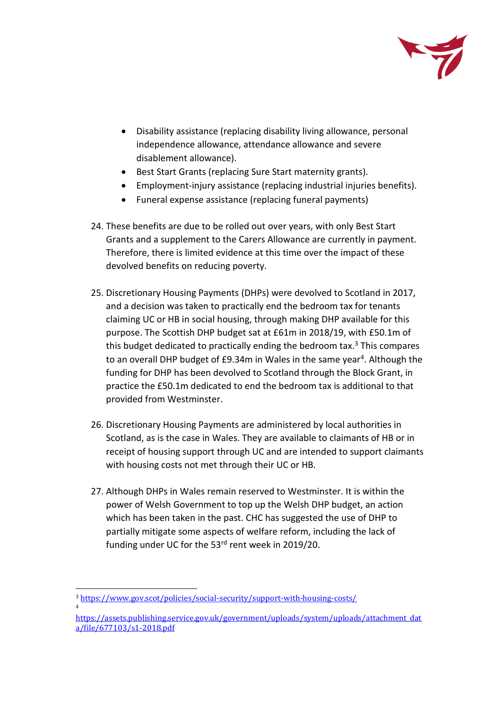

- Disability assistance (replacing disability living allowance, personal independence allowance, attendance allowance and severe disablement allowance).
- Best Start Grants (replacing Sure Start maternity grants).
- Employment-injury assistance (replacing industrial injuries benefits).
- Funeral expense assistance (replacing funeral payments)
- 24. These benefits are due to be rolled out over years, with only Best Start Grants and a supplement to the Carers Allowance are currently in payment. Therefore, there is limited evidence at this time over the impact of these devolved benefits on reducing poverty.
- 25. Discretionary Housing Payments (DHPs) were devolved to Scotland in 2017, and a decision was taken to practically end the bedroom tax for tenants claiming UC or HB in social housing, through making DHP available for this purpose. The Scottish DHP budget sat at £61m in 2018/19, with £50.1m of this budget dedicated to practically ending the bedroom tax.<sup>3</sup> This compares to an overall DHP budget of £9.34m in Wales in the same year<sup>4</sup>. Although the funding for DHP has been devolved to Scotland through the Block Grant, in practice the £50.1m dedicated to end the bedroom tax is additional to that provided from Westminster.
- 26. Discretionary Housing Payments are administered by local authorities in Scotland, as is the case in Wales. They are available to claimants of HB or in receipt of housing support through UC and are intended to support claimants with housing costs not met through their UC or HB.
- 27. Although DHPs in Wales remain reserved to Westminster. It is within the power of Welsh Government to top up the Welsh DHP budget, an action which has been taken in the past. CHC has suggested the use of DHP to partially mitigate some aspects of welfare reform, including the lack of funding under UC for the 53<sup>rd</sup> rent week in 2019/20.

4

 $\overline{\phantom{a}}$ <sup>3</sup> <https://www.gov.scot/policies/social-security/support-with-housing-costs/>

[https://assets.publishing.service.gov.uk/government/uploads/system/uploads/attachment\\_dat](https://assets.publishing.service.gov.uk/government/uploads/system/uploads/attachment_data/file/677103/s1-2018.pdf) [a/file/677103/s1-2018.pdf](https://assets.publishing.service.gov.uk/government/uploads/system/uploads/attachment_data/file/677103/s1-2018.pdf)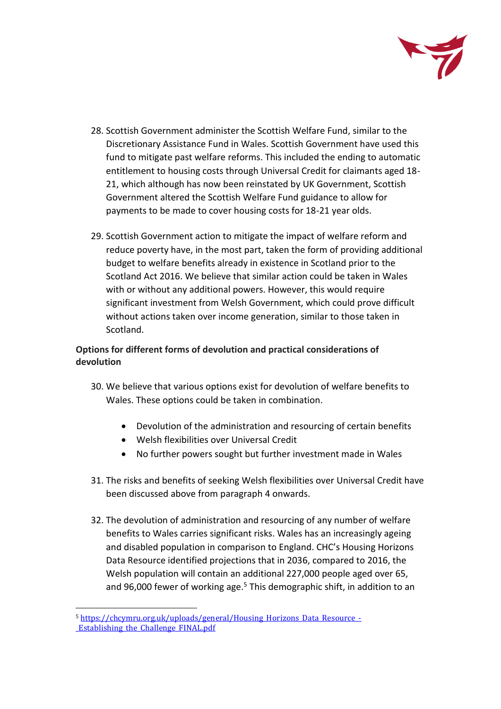

- 28. Scottish Government administer the Scottish Welfare Fund, similar to the Discretionary Assistance Fund in Wales. Scottish Government have used this fund to mitigate past welfare reforms. This included the ending to automatic entitlement to housing costs through Universal Credit for claimants aged 18- 21, which although has now been reinstated by UK Government, Scottish Government altered the Scottish Welfare Fund guidance to allow for payments to be made to cover housing costs for 18-21 year olds.
- 29. Scottish Government action to mitigate the impact of welfare reform and reduce poverty have, in the most part, taken the form of providing additional budget to welfare benefits already in existence in Scotland prior to the Scotland Act 2016. We believe that similar action could be taken in Wales with or without any additional powers. However, this would require significant investment from Welsh Government, which could prove difficult without actions taken over income generation, similar to those taken in Scotland.

# **Options for different forms of devolution and practical considerations of devolution**

- 30. We believe that various options exist for devolution of welfare benefits to Wales. These options could be taken in combination.
	- Devolution of the administration and resourcing of certain benefits
	- Welsh flexibilities over Universal Credit
	- No further powers sought but further investment made in Wales
- 31. The risks and benefits of seeking Welsh flexibilities over Universal Credit have been discussed above from paragraph 4 onwards.
- 32. The devolution of administration and resourcing of any number of welfare benefits to Wales carries significant risks. Wales has an increasingly ageing and disabled population in comparison to England. CHC's Housing Horizons Data Resource identified projections that in 2036, compared to 2016, the Welsh population will contain an additional 227,000 people aged over 65, and 96,000 fewer of working age.<sup>5</sup> This demographic shift, in addition to an

 $\overline{\phantom{a}}$ 5 [https://chcymru.org.uk/uploads/general/Housing\\_Horizons\\_Data\\_Resource\\_-](https://chcymru.org.uk/uploads/general/Housing_Horizons_Data_Resource_-_Establishing_the_Challenge_FINAL.pdf) [\\_Establishing\\_the\\_Challenge\\_FINAL.pdf](https://chcymru.org.uk/uploads/general/Housing_Horizons_Data_Resource_-_Establishing_the_Challenge_FINAL.pdf)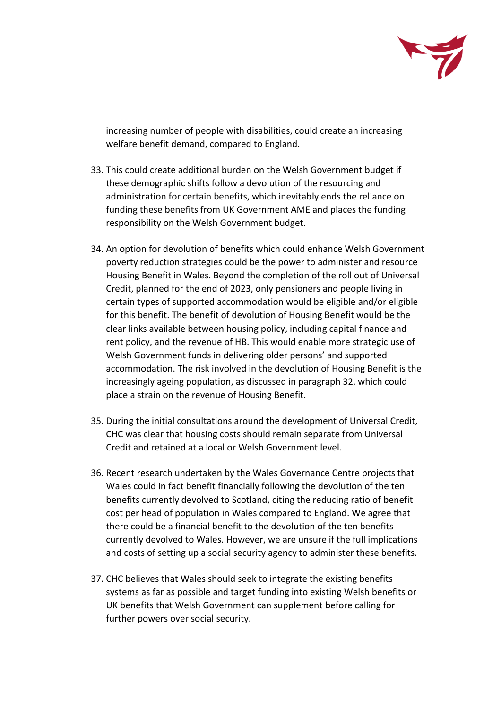

increasing number of people with disabilities, could create an increasing welfare benefit demand, compared to England.

- 33. This could create additional burden on the Welsh Government budget if these demographic shifts follow a devolution of the resourcing and administration for certain benefits, which inevitably ends the reliance on funding these benefits from UK Government AME and places the funding responsibility on the Welsh Government budget.
- 34. An option for devolution of benefits which could enhance Welsh Government poverty reduction strategies could be the power to administer and resource Housing Benefit in Wales. Beyond the completion of the roll out of Universal Credit, planned for the end of 2023, only pensioners and people living in certain types of supported accommodation would be eligible and/or eligible for this benefit. The benefit of devolution of Housing Benefit would be the clear links available between housing policy, including capital finance and rent policy, and the revenue of HB. This would enable more strategic use of Welsh Government funds in delivering older persons' and supported accommodation. The risk involved in the devolution of Housing Benefit is the increasingly ageing population, as discussed in paragraph 32, which could place a strain on the revenue of Housing Benefit.
- 35. During the initial consultations around the development of Universal Credit, CHC was clear that housing costs should remain separate from Universal Credit and retained at a local or Welsh Government level.
- 36. Recent research undertaken by the Wales Governance Centre projects that Wales could in fact benefit financially following the devolution of the ten benefits currently devolved to Scotland, citing the reducing ratio of benefit cost per head of population in Wales compared to England. We agree that there could be a financial benefit to the devolution of the ten benefits currently devolved to Wales. However, we are unsure if the full implications and costs of setting up a social security agency to administer these benefits.
- 37. CHC believes that Wales should seek to integrate the existing benefits systems as far as possible and target funding into existing Welsh benefits or UK benefits that Welsh Government can supplement before calling for further powers over social security.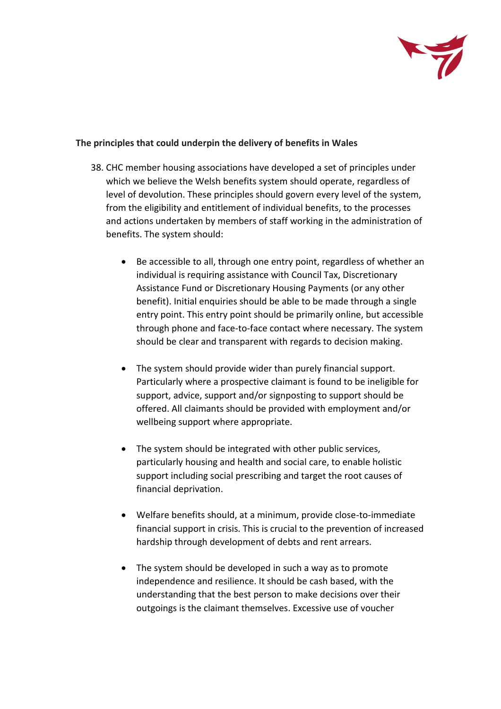

## **The principles that could underpin the delivery of benefits in Wales**

- 38. CHC member housing associations have developed a set of principles under which we believe the Welsh benefits system should operate, regardless of level of devolution. These principles should govern every level of the system, from the eligibility and entitlement of individual benefits, to the processes and actions undertaken by members of staff working in the administration of benefits. The system should:
	- Be accessible to all, through one entry point, regardless of whether an individual is requiring assistance with Council Tax, Discretionary Assistance Fund or Discretionary Housing Payments (or any other benefit). Initial enquiries should be able to be made through a single entry point. This entry point should be primarily online, but accessible through phone and face-to-face contact where necessary. The system should be clear and transparent with regards to decision making.
	- The system should provide wider than purely financial support. Particularly where a prospective claimant is found to be ineligible for support, advice, support and/or signposting to support should be offered. All claimants should be provided with employment and/or wellbeing support where appropriate.
	- The system should be integrated with other public services, particularly housing and health and social care, to enable holistic support including social prescribing and target the root causes of financial deprivation.
	- Welfare benefits should, at a minimum, provide close-to-immediate financial support in crisis. This is crucial to the prevention of increased hardship through development of debts and rent arrears.
	- The system should be developed in such a way as to promote independence and resilience. It should be cash based, with the understanding that the best person to make decisions over their outgoings is the claimant themselves. Excessive use of voucher